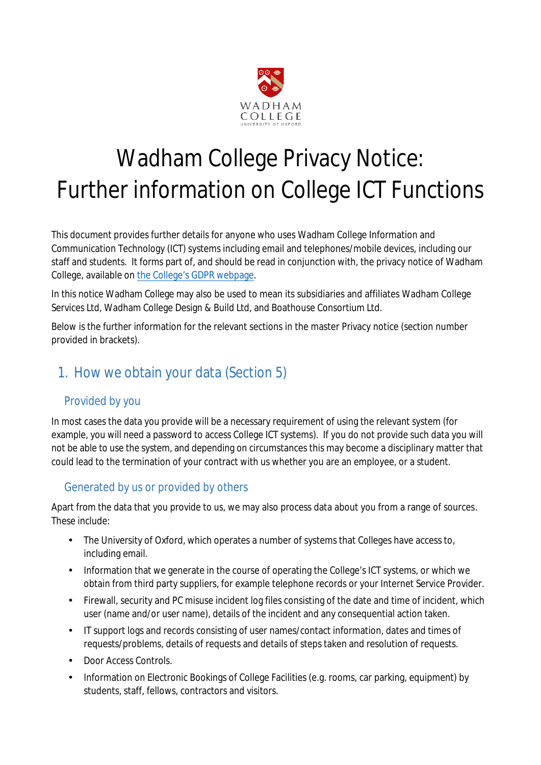

# Wadham College Privacy Notice: Further information on College ICT Functions

This document provides further details for anyone who uses Wadham College Information and Communication Technology (ICT) systems including email and telephones/mobile devices, including our staff and students. It forms part of, and should be read in conjunction with, the privacy notice of Wadham College, available on [the College's GDPR webpage.](https://www.wadham.ox.ac.uk/governance/wadham-college-gdpr-framework)

In this notice Wadham College may also be used to mean its subsidiaries and affiliates Wadham College Services Ltd, Wadham College Design & Build Ltd, and Boathouse Consortium Ltd.

Below is the further information for the relevant sections in the master Privacy notice (section number provided in brackets).

# 1. How we obtain your data (Section 5)

### Provided by you

In most cases the data you provide will be a necessary requirement of using the relevant system (for example, you will need a password to access College ICT systems). If you do not provide such data you will not be able to use the system, and depending on circumstances this may become a disciplinary matter that could lead to the termination of your contract with us whether you are an employee, or a student.

#### Generated by us or provided by others

Apart from the data that you provide to us, we may also process data about you from a range of sources. These include:

- The University of Oxford, which operates a number of systems that Colleges have access to, including email.
- Information that we generate in the course of operating the College's ICT systems, or which we obtain from third party suppliers, for example telephone records or your Internet Service Provider.
- Firewall, security and PC misuse incident log files consisting of the date and time of incident, which user (name and/or user name), details of the incident and any consequential action taken.
- IT support logs and records consisting of user names/contact information, dates and times of requests/problems, details of requests and details of steps taken and resolution of requests.
- Door Access Controls.
- Information on Electronic Bookings of College Facilities (e.g. rooms, car parking, equipment) by students, staff, fellows, contractors and visitors.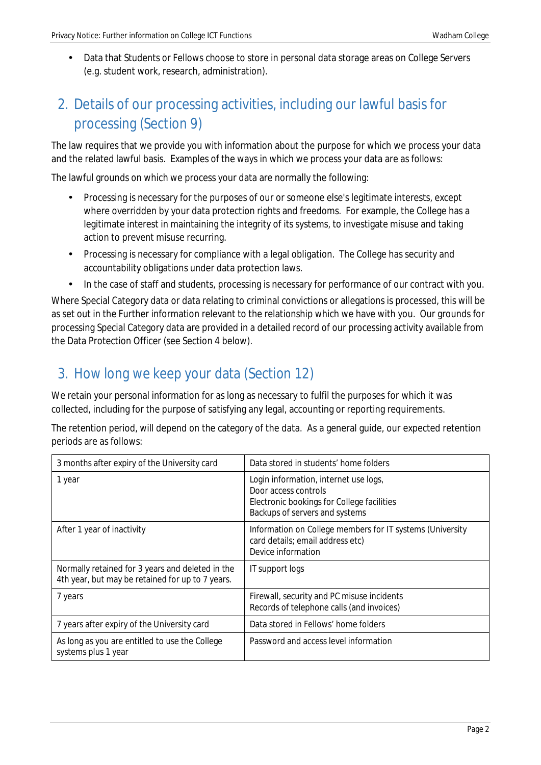• Data that Students or Fellows choose to store in personal data storage areas on College Servers (e.g. student work, research, administration).

# 2. Details of our processing activities, including our lawful basis for processing (Section 9)

The law requires that we provide you with information about the purpose for which we process your data and the related lawful basis. Examples of the ways in which we process your data are as follows:

The lawful grounds on which we process your data are normally the following:

- Processing is necessary for the purposes of our or someone else's legitimate interests, except where overridden by your data protection rights and freedoms. For example, the College has a legitimate interest in maintaining the integrity of its systems, to investigate misuse and taking action to prevent misuse recurring.
- Processing is necessary for compliance with a legal obligation. The College has security and accountability obligations under data protection laws.
- In the case of staff and students, processing is necessary for performance of our contract with you.

Where Special Category data or data relating to criminal convictions or allegations is processed, this will be as set out in the Further information relevant to the relationship which we have with you. Our grounds for processing Special Category data are provided in a detailed record of our processing activity available from the Data Protection Officer (see Section 4 below).

## 3. How long we keep your data (Section 12)

We retain your personal information for as long as necessary to fulfil the purposes for which it was collected, including for the purpose of satisfying any legal, accounting or reporting requirements.

The retention period, will depend on the category of the data. As a general guide, our expected retention periods are as follows:

| 3 months after expiry of the University card                                                         | Data stored in students' home folders                                                                                                                       |
|------------------------------------------------------------------------------------------------------|-------------------------------------------------------------------------------------------------------------------------------------------------------------|
| 1 year                                                                                               | Login information, internet use logs,<br>Door access controls<br><b>Electronic bookings for College facilities</b><br><b>Backups of servers and systems</b> |
| After 1 year of inactivity                                                                           | Information on College members for IT systems (University<br>card details; email address etc)<br>Device information                                         |
| Normally retained for 3 years and deleted in the<br>4th year, but may be retained for up to 7 years. | <b>IT</b> support logs                                                                                                                                      |
| 7 years                                                                                              | Firewall, security and PC misuse incidents<br>Records of telephone calls (and invoices)                                                                     |
| 7 years after expiry of the University card                                                          | Data stored in Fellows' home folders                                                                                                                        |
| As long as you are entitled to use the College<br>systems plus 1 year                                | Password and access level information                                                                                                                       |